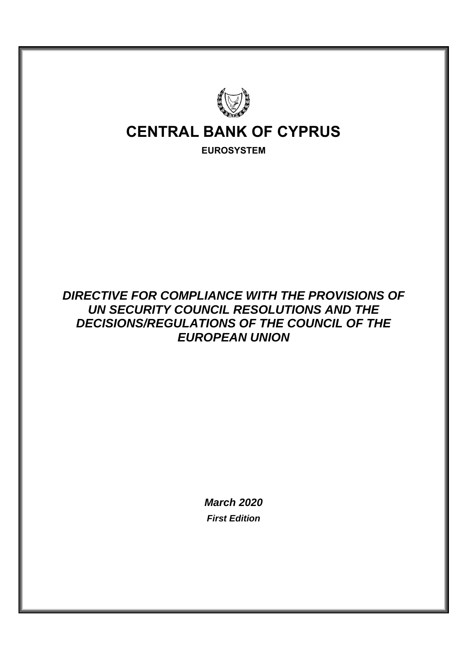

## *DIRECTIVE FOR COMPLIANCE WITH THE PROVISIONS OF UN SECURITY COUNCIL RESOLUTIONS AND THE DECISIONS/REGULATIONS OF THE COUNCIL OF THE EUROPEAN UNION*

*March 2020 First Edition*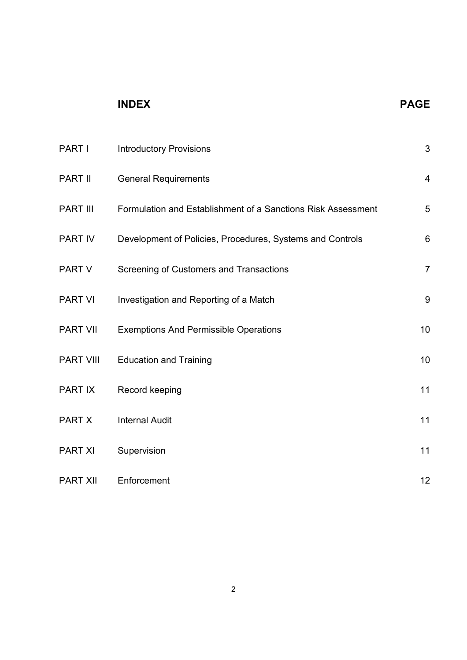# **INDEX PAGE**

| PART I           | <b>Introductory Provisions</b>                               | 3               |
|------------------|--------------------------------------------------------------|-----------------|
| PART II          | <b>General Requirements</b>                                  | $\overline{4}$  |
| <b>PART III</b>  | Formulation and Establishment of a Sanctions Risk Assessment | 5               |
| PART IV          | Development of Policies, Procedures, Systems and Controls    | $6\phantom{1}6$ |
| PART V           | Screening of Customers and Transactions                      | $\overline{7}$  |
| <b>PART VI</b>   | Investigation and Reporting of a Match                       | 9               |
| <b>PART VII</b>  | <b>Exemptions And Permissible Operations</b>                 | 10              |
| <b>PART VIII</b> | <b>Education and Training</b>                                | 10              |
| PART IX          | Record keeping                                               | 11              |
| <b>PART X</b>    | <b>Internal Audit</b>                                        | 11              |
| <b>PART XI</b>   | Supervision                                                  | 11              |
| <b>PART XII</b>  | Enforcement                                                  | 12              |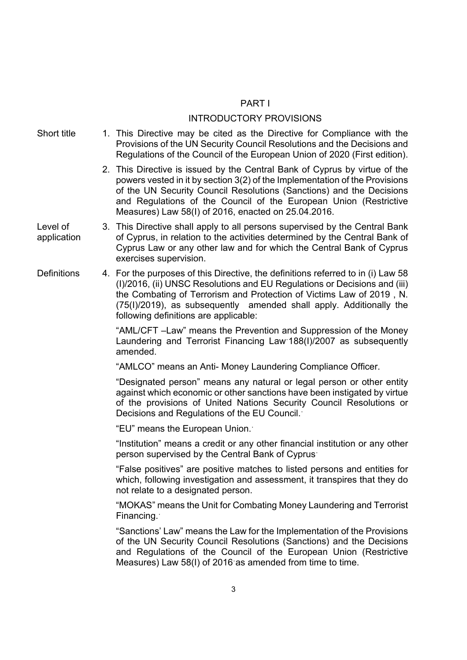## PART I

- INTRODUCTORY PROVISIONS Short title 1. This Directive may be cited as the Directive for Compliance with the Provisions of the UN Security Council Resolutions and the Decisions and Regulations of the Council of the European Union of 2020 (First edition). 2. This Directive is issued by the Central Bank of Cyprus by virtue of the powers vested in it by section 3(2) of the Implementation of the Provisions of the UN Security Council Resolutions (Sanctions) and the Decisions and Regulations of the Council of the European Union (Restrictive Measures) Law 58(I) of 2016, enacted on 25.04.2016. Level of application 3. This Directive shall apply to all persons supervised by the Central Bank of Cyprus, in relation to the activities determined by the Central Bank of Cyprus Law or any other law and for which the Central Bank of Cyprus exercises supervision. Definitions 4. For the purposes of this Directive, the definitions referred to in (i) Law 58 (I)/2016, (ii) UNSC Resolutions and EU Regulations or Decisions and (iii) the Combating of Terrorism and Protection of Victims Law of 2019 , N. (75(I)/2019), as subsequently amended shall apply. Additionally the following definitions are applicable: "AML/CFT –Law" means the Prevention and Suppression of the Money Laundering and Terrorist Financing Lawˑ188(I)/2007 as subsequently amended. "AMLCO" means an Anti- Money Laundering Compliance Officer. "Designated person" means any natural or legal person or other entity against which economic or other sanctions have been instigated by virtue of the provisions of United Nations Security Council Resolutions or Decisions and Regulations of the EU Council. $\cdot$ "EU" means the European Union.<sup>*'*</sup> "Institution" means a credit or any other financial institution or any other person supervised by the Central Bank of Cyprus<sup>-</sup> "False positives" are positive matches to listed persons and entities for which, following investigation and assessment, it transpires that they do not relate to a designated person. "MOKAS" means the Unit for Combating Money Laundering and Terrorist Financing. "Sanctions' Law" means the Law for the Implementation of the Provisions of the UN Security Council Resolutions (Sanctions) and the Decisions and Regulations of the Council of the European Union (Restrictive Measures) Law 58(I) of 2016 as amended from time to time.
	- 3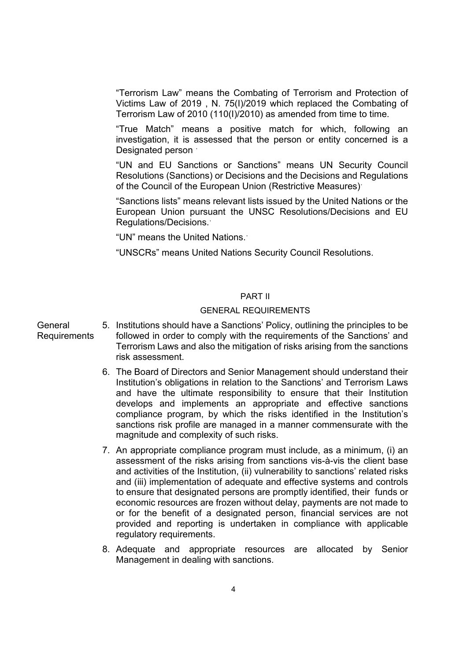"Terrorism Law" means the Combating of Terrorism and Protection of Victims Law of 2019 , N. 75(I)/2019 which replaced the Combating of Terrorism Law of 2010 (110(I)/2010) as amended from time to time.

"True Match" means a positive match for which, following an investigation, it is assessed that the person or entity concerned is a Designated person  $\cdot$ 

"UN and EU Sanctions or Sanctions" means UN Security Council Resolutions (Sanctions) or Decisions and the Decisions and Regulations of the Council of the European Union (Restrictive Measures)<sup>.</sup>

"Sanctions lists" means relevant lists issued by the United Nations or the European Union pursuant the UNSC Resolutions/Decisions and EU Regulations/Decisions.ˑ

"UN" means the United Nations.

"UNSCRs" means United Nations Security Council Resolutions.

### PART II

#### GENERAL REQUIREMENTS

## General **Requirements**

- 5. Institutions should have a Sanctions' Policy, outlining the principles to be followed in order to comply with the requirements of the Sanctions' and Terrorism Laws and also the mitigation of risks arising from the sanctions risk assessment.
	- 6. The Board of Directors and Senior Management should understand their Institution's obligations in relation to the Sanctions' and Terrorism Laws and have the ultimate responsibility to ensure that their Institution develops and implements an appropriate and effective sanctions compliance program, by which the risks identified in the Institution's sanctions risk profile are managed in a manner commensurate with the magnitude and complexity of such risks.
	- 7. An appropriate compliance program must include, as a minimum, (i) an assessment of the risks arising from sanctions vis-à-vis the client base and activities of the Institution, (ii) vulnerability to sanctions' related risks and (iii) implementation of adequate and effective systems and controls to ensure that designated persons are promptly identified, their funds or economic resources are frozen without delay, payments are not made to or for the benefit of a designated person, financial services are not provided and reporting is undertaken in compliance with applicable regulatory requirements.
	- 8. Adequate and appropriate resources are allocated by Senior Management in dealing with sanctions.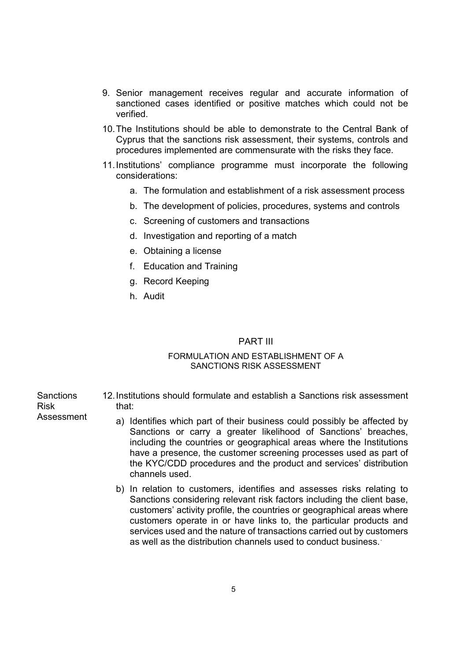- 9. Senior management receives regular and accurate information of sanctioned cases identified or positive matches which could not be verified.
- 10. The Institutions should be able to demonstrate to the Central Bank of Cyprus that the sanctions risk assessment, their systems, controls and procedures implemented are commensurate with the risks they face.
- 11. Institutions' compliance programme must incorporate the following considerations:
	- a. The formulation and establishment of a risk assessment process
	- b. The development of policies, procedures, systems and controls
	- c. Screening of customers and transactions
	- d. Investigation and reporting of a match
	- e. Obtaining a license
	- f. Education and Training
	- g. Record Keeping
	- h. Audit

#### PART III

## FORMULATION AND ESTABLISHMENT OF A SANCTIONS RISK ASSESSMENT

**Sanctions** Risk Assessment 12. Institutions should formulate and establish a Sanctions risk assessment that:

- a) Identifies which part of their business could possibly be affected by Sanctions or carry a greater likelihood of Sanctions' breaches, including the countries or geographical areas where the Institutions have a presence, the customer screening processes used as part of the KYC/CDD procedures and the product and services' distribution channels used.
- b) In relation to customers, identifies and assesses risks relating to Sanctions considering relevant risk factors including the client base, customers' activity profile, the countries or geographical areas where customers operate in or have links to, the particular products and services used and the nature of transactions carried out by customers as well as the distribution channels used to conduct business.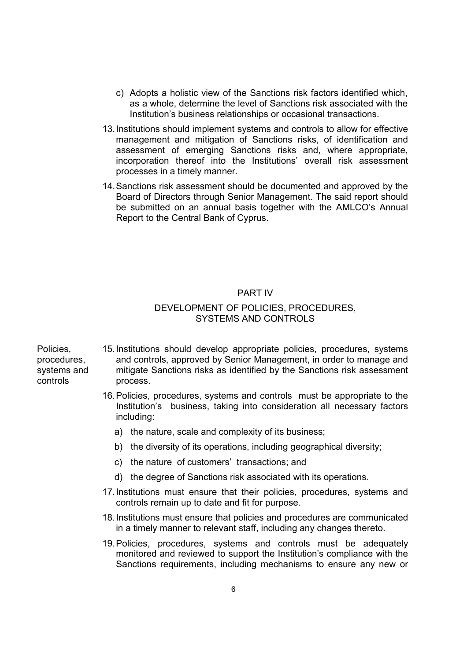- c) Adopts a holistic view of the Sanctions risk factors identified which, as a whole, determine the level of Sanctions risk associated with the Institution's business relationships or occasional transactions.
- 13. Institutions should implement systems and controls to allow for effective management and mitigation of Sanctions risks, of identification and assessment of emerging Sanctions risks and, where appropriate, incorporation thereof into the Institutions' overall risk assessment processes in a timely manner.
- 14. Sanctions risk assessment should be documented and approved by the Board of Directors through Senior Management. The said report should be submitted on an annual basis together with the AMLCO's Annual Report to the Central Bank of Cyprus.

#### PART IV

## DEVELOPMENT OF POLICIES, PROCEDURES, SYSTEMS AND CONTROLS

Policies, procedures, systems and controls

- 15. Institutions should develop appropriate policies, procedures, systems and controls, approved by Senior Management, in order to manage and mitigate Sanctions risks as identified by the Sanctions risk assessment process.
	- 16. Policies, procedures, systems and controls must be appropriate to the Institution's business, taking into consideration all necessary factors including:
		- a) the nature, scale and complexity of its business;
		- b) the diversity of its operations, including geographical diversity;
		- c) the nature of customers' transactions; and
		- d) the degree of Sanctions risk associated with its operations.
	- 17. Institutions must ensure that their policies, procedures, systems and controls remain up to date and fit for purpose.
	- 18. Institutions must ensure that policies and procedures are communicated in a timely manner to relevant staff, including any changes thereto.
	- 19. Policies, procedures, systems and controls must be adequately monitored and reviewed to support the Institution's compliance with the Sanctions requirements, including mechanisms to ensure any new or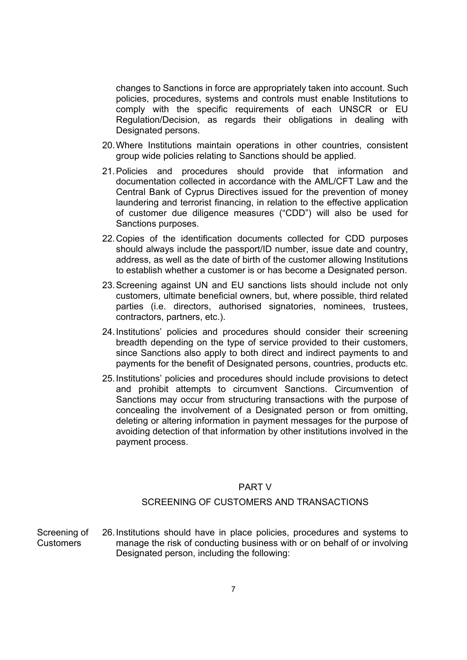changes to Sanctions in force are appropriately taken into account. Such policies, procedures, systems and controls must enable Institutions to comply with the specific requirements of each UNSCR or EU Regulation/Decision, as regards their obligations in dealing with Designated persons.

- 20. Where Institutions maintain operations in other countries, consistent group wide policies relating to Sanctions should be applied.
- 21. Policies and procedures should provide that information and documentation collected in accordance with the AML/CFT Law and the Central Bank of Cyprus Directives issued for the prevention of money laundering and terrorist financing, in relation to the effective application of customer due diligence measures ("CDD") will also be used for Sanctions purposes.
- 22. Copies of the identification documents collected for CDD purposes should always include the passport/ID number, issue date and country, address, as well as the date of birth of the customer allowing Institutions to establish whether a customer is or has become a Designated person.
- 23. Screening against UN and EU sanctions lists should include not only customers, ultimate beneficial owners, but, where possible, third related parties (i.e. directors, authorised signatories, nominees, trustees, contractors, partners, etc.).
- 24. Institutions' policies and procedures should consider their screening breadth depending on the type of service provided to their customers, since Sanctions also apply to both direct and indirect payments to and payments for the benefit of Designated persons, countries, products etc.
- 25. Institutions' policies and procedures should include provisions to detect and prohibit attempts to circumvent Sanctions. Circumvention of Sanctions may occur from structuring transactions with the purpose of concealing the involvement of a Designated person or from omitting, deleting or altering information in payment messages for the purpose of avoiding detection of that information by other institutions involved in the payment process.

## PART V

## SCREENING OF CUSTOMERS AND TRANSACTIONS

Screening of Customers 26. Institutions should have in place policies, procedures and systems to manage the risk of conducting business with or on behalf of or involving Designated person, including the following: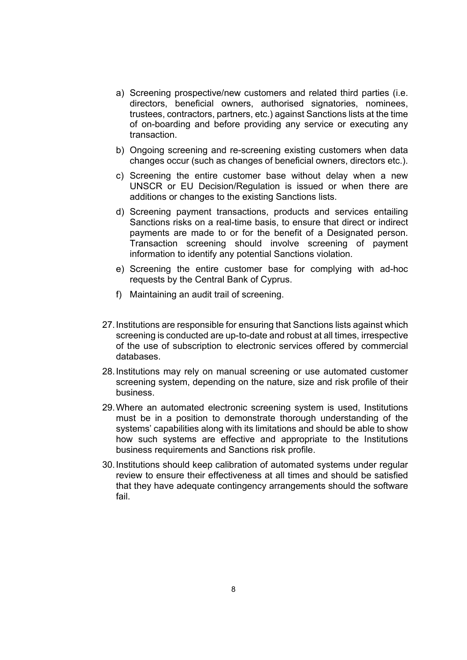- a) Screening prospective/new customers and related third parties (i.e. directors, beneficial owners, authorised signatories, nominees, trustees, contractors, partners, etc.) against Sanctions lists at the time of on-boarding and before providing any service or executing any transaction.
- b) Ongoing screening and re-screening existing customers when data changes occur (such as changes of beneficial owners, directors etc.).
- c) Screening the entire customer base without delay when a new UNSCR or EU Decision/Regulation is issued or when there are additions or changes to the existing Sanctions lists.
- d) Screening payment transactions, products and services entailing Sanctions risks on a real-time basis, to ensure that direct or indirect payments are made to or for the benefit of a Designated person. Transaction screening should involve screening of payment information to identify any potential Sanctions violation.
- e) Screening the entire customer base for complying with ad-hoc requests by the Central Bank of Cyprus.
- f) Maintaining an audit trail of screening.
- 27. Institutions are responsible for ensuring that Sanctions lists against which screening is conducted are up-to-date and robust at all times, irrespective of the use of subscription to electronic services offered by commercial databases.
- 28. Institutions may rely on manual screening or use automated customer screening system, depending on the nature, size and risk profile of their business.
- 29. Where an automated electronic screening system is used, Institutions must be in a position to demonstrate thorough understanding of the systems' capabilities along with its limitations and should be able to show how such systems are effective and appropriate to the Institutions business requirements and Sanctions risk profile.
- 30. Institutions should keep calibration of automated systems under regular review to ensure their effectiveness at all times and should be satisfied that they have adequate contingency arrangements should the software fail.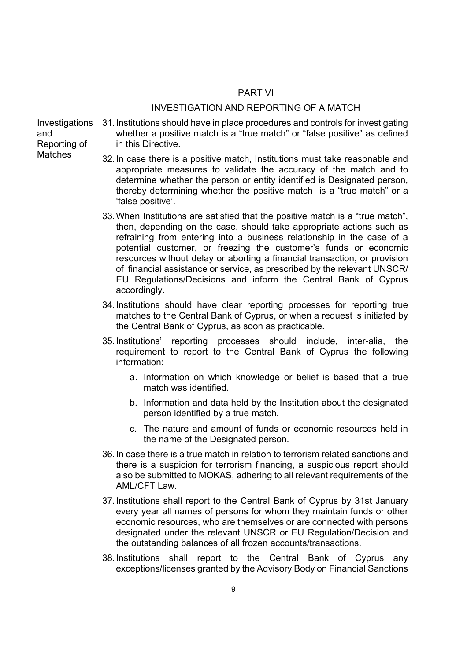## PART VI

#### INVESTIGATION AND REPORTING OF A MATCH

Investigations and Reporting of **Matches** 

- 31. Institutions should have in place procedures and controls for investigating whether a positive match is a "true match" or "false positive" as defined in this Directive.
- 32. In case there is a positive match, Institutions must take reasonable and appropriate measures to validate the accuracy of the match and to determine whether the person or entity identified is Designated person, thereby determining whether the positive match is a "true match" or a 'false positive'.
- 33. When Institutions are satisfied that the positive match is a "true match", then, depending on the case, should take appropriate actions such as refraining from entering into a business relationship in the case of a potential customer, or freezing the customer's funds or economic resources without delay or aborting a financial transaction, or provision of financial assistance or service, as prescribed by the relevant UNSCR/ EU Regulations/Decisions and inform the Central Bank of Cyprus accordingly.
- 34. Institutions should have clear reporting processes for reporting true matches to the Central Bank of Cyprus, or when a request is initiated by the Central Bank of Cyprus, as soon as practicable.
- 35. Institutions' reporting processes should include, inter-alia, the requirement to report to the Central Bank of Cyprus the following information:
	- a. Information on which knowledge or belief is based that a true match was identified.
	- b. Information and data held by the Institution about the designated person identified by a true match.
	- c. The nature and amount of funds or economic resources held in the name of the Designated person.
- 36. In case there is a true match in relation to terrorism related sanctions and there is a suspicion for terrorism financing, a suspicious report should also be submitted to MOKAS, adhering to all relevant requirements of the AML/CFT Law.
- 37. Institutions shall report to the Central Bank of Cyprus by 31st January every year all names of persons for whom they maintain funds or other economic resources, who are themselves or are connected with persons designated under the relevant UNSCR or EU Regulation/Decision and the outstanding balances of all frozen accounts/transactions.
- 38. Institutions shall report to the Central Bank of Cyprus any exceptions/licenses granted by the Advisory Body on Financial Sanctions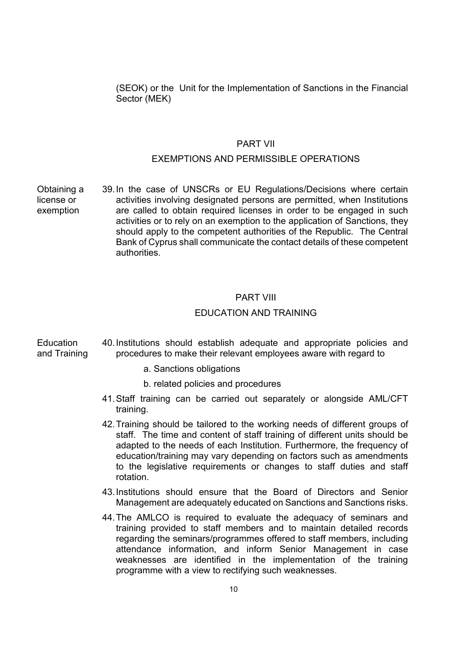(SEOK) or the Unit for the Implementation of Sanctions in the Financial Sector (MEK)

## PART VII

## EXEMPTIONS AND PERMISSIBLE OPERATIONS

Obtaining a license or exemption 39. In the case of UNSCRs or EU Regulations/Decisions where certain activities involving designated persons are permitted, when Institutions are called to obtain required licenses in order to be engaged in such activities or to rely on an exemption to the application of Sanctions, they should apply to the competent authorities of the Republic. The Central Bank of Cyprus shall communicate the contact details of these competent authorities.

## PART VIII

### EDUCATION AND TRAINING

**Education** and Training 40. Institutions should establish adequate and appropriate policies and procedures to make their relevant employees aware with regard to

- a. Sanctions obligations
- b. related policies and procedures
- 41. Staff training can be carried out separately or alongside AML/CFT training.
- 42. Training should be tailored to the working needs of different groups of staff. The time and content of staff training of different units should be adapted to the needs of each Institution. Furthermore, the frequency of education/training may vary depending on factors such as amendments to the legislative requirements or changes to staff duties and staff rotation.
- 43. Institutions should ensure that the Board of Directors and Senior Management are adequately educated on Sanctions and Sanctions risks.
- 44. The AMLCO is required to evaluate the adequacy of seminars and training provided to staff members and to maintain detailed records regarding the seminars/programmes offered to staff members, including attendance information, and inform Senior Management in case weaknesses are identified in the implementation of the training programme with a view to rectifying such weaknesses.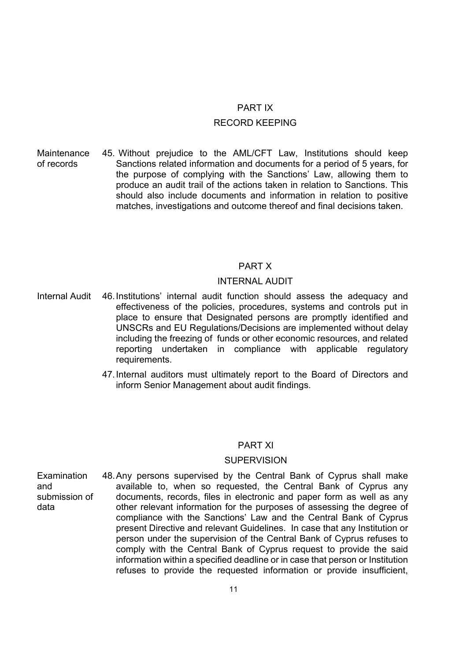#### PART IX

#### RECORD KEEPING

**Maintenance** of records 45. Without prejudice to the AML/CFT Law, Institutions should keep Sanctions related information and documents for a period of 5 years, for the purpose of complying with the Sanctions' Law, allowing them to produce an audit trail of the actions taken in relation to Sanctions. This should also include documents and information in relation to positive matches, investigations and outcome thereof and final decisions taken.

#### PART X

## INTERNAL AUDIT

- Internal Audit 46. Institutions' internal audit function should assess the adequacy and effectiveness of the policies, procedures, systems and controls put in place to ensure that Designated persons are promptly identified and UNSCRs and EU Regulations/Decisions are implemented without delay including the freezing of funds or other economic resources, and related reporting undertaken in compliance with applicable regulatory requirements.
	- 47. Internal auditors must ultimately report to the Board of Directors and inform Senior Management about audit findings.

#### PART XI

#### **SUPERVISION**

Examination and submission of data 48. Any persons supervised by the Central Bank of Cyprus shall make available to, when so requested, the Central Bank of Cyprus any documents, records, files in electronic and paper form as well as any other relevant information for the purposes of assessing the degree of compliance with the Sanctions' Law and the Central Bank of Cyprus present Directive and relevant Guidelines. In case that any Institution or person under the supervision of the Central Bank of Cyprus refuses to comply with the Central Bank of Cyprus request to provide the said information within a specified deadline or in case that person or Institution refuses to provide the requested information or provide insufficient,